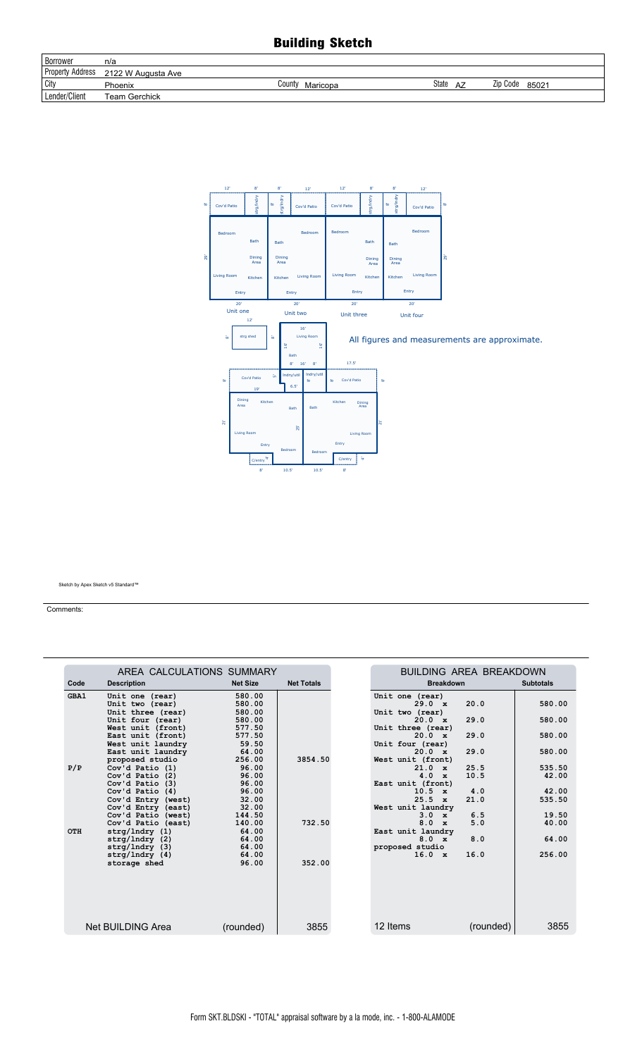## **Building Sketch**

| <b>Borrower</b>         | n/a                  |                    |             |                   |
|-------------------------|----------------------|--------------------|-------------|-------------------|
| <b>Property Address</b> | 2122 W Augusta Ave   |                    |             |                   |
| <b>City</b>             | Phoenix              | County<br>Maricopa | State<br>AZ | Zip Code<br>85021 |
| Lender/Client           | <b>Team Gerchick</b> |                    |             |                   |



Sketch by Apex Sketch v5 Standard™

Comments:

|      | AREA CALCULATIONS SUMMARY |                 |                   | <b>BUILDING AREA BREAKDOWN</b> |           |                  |
|------|---------------------------|-----------------|-------------------|--------------------------------|-----------|------------------|
| Code | <b>Description</b>        | <b>Net Size</b> | <b>Net Totals</b> | <b>Breakdown</b>               |           | <b>Subtotals</b> |
| GBA1 | Unit one (rear)           | 580.00          |                   | Unit one (rear)                |           |                  |
|      | Unit two (rear)           | 580.00          |                   | $29.0 \times$                  | 20.0      | 580.00           |
|      | Unit three (rear)         | 580.00          |                   | Unit two (rear)                |           |                  |
|      | Unit four (rear)          | 580.00          |                   | 20.0 x                         | 29.0      | 580.00           |
|      | West unit (front)         | 577.50          |                   | Unit three (rear)              |           |                  |
|      | East unit (front)         | 577.50          |                   | 20.0 x                         | 29.0      | 580.00           |
|      | West unit laundry         | 59.50           |                   | Unit four (rear)               |           |                  |
|      | East unit laundry         | 64.00           |                   | 20.0 x                         | 29.0      | 580.00           |
|      | proposed studio           | 256.00          | 3854.50           | West unit (front)              |           |                  |
| P/P  | Cov'd Patio (1)           | 96.00           |                   | $21.0 \times$                  | 25.5      | 535.50           |
|      | $Cov'$ d Patio $(2)$      | 96.00           |                   | $4.0 \times$                   | 10.5      | 42.00            |
|      | $Cov'$ d Patio $(3)$      | 96.00           |                   | East unit (front)              |           |                  |
|      | Cov'd Patio (4)           | 96.00           |                   | $10.5 \times$                  | 4.0       | 42.00            |
|      | Cov'd Entry (west)        | 32.00           |                   | $25.5 \times$                  | 21.0      | 535.50           |
|      | Cov'd Entry (east)        | 32.00           |                   | West unit laundry              |           |                  |
|      | Cov'd Patio (west)        | 144.50          |                   | $3.0 \times$                   | 6.5       | 19.50            |
|      | Cov'd Patio (east)        | 140.00          | 732.50            | 8.0<br>$\mathbf{x}$            | 5.0       | 40.00            |
| OTH  | strq/Indry(1)             | 64.00           |                   | East unit laundry              |           |                  |
|      | $strq/Indry$ (2)          | 64.00           |                   | $8.0 \times$                   | 8.0       | 64.00            |
|      | $strg/Indry$ (3)          | 64.00           |                   | proposed studio                |           |                  |
|      | strg/Indry(4)             | 64.00           | 352.00            | $16.0 \times$                  | 16.0      | 256.00           |
|      | storage shed              | 96.00           |                   |                                |           |                  |
|      |                           |                 |                   |                                |           |                  |
|      |                           |                 |                   |                                |           |                  |
|      |                           |                 |                   |                                |           |                  |
|      |                           |                 |                   |                                |           |                  |
|      |                           |                 |                   |                                |           |                  |
|      | Net BUILDING Area         | (rounded)       | 3855              | 12 Items                       | (rounded) | 3855             |